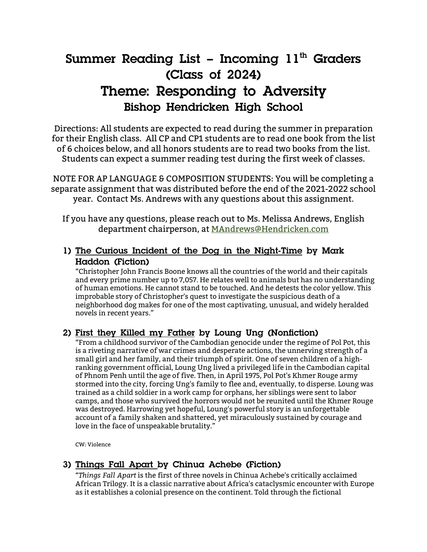# **Summer Reading List – Incoming 11<sup>th</sup> Graders (Class of 2024) Theme: Responding to Adversity Bishop Hendricken High School**

Directions: All students are expected to read during the summer in preparation for their English class. All CP and CP1 students are to read one book from the list of 6 choices below, and all honors students are to read two books from the list. Students can expect a summer reading test during the first week of classes.

NOTE FOR AP LANGUAGE & COMPOSITION STUDENTS: You will be completing a separate assignment that was distributed before the end of the 2021-2022 school year. Contact Ms. Andrews with any questions about this assignment.

If you have any questions, please reach out to Ms. Melissa Andrews, English department chairperson, at MAndrews@Hendricken.com

## **1) The Curious Incident of the Dog in the Night-Time by Mark Haddon (Fiction)**

"Christopher John Francis Boone knows all the countries of the world and their capitals and every prime number up to 7,057. He relates well to animals but has no understanding of human emotions. He cannot stand to be touched. And he detests the color yellow. This improbable story of Christopher's quest to investigate the suspicious death of a neighborhood dog makes for one of the most captivating, unusual, and widely heralded novels in recent years."

# **2) First they Killed my Father by Loung Ung (Nonfiction)**

"From a childhood survivor of the Cambodian genocide under the regime of Pol Pot, this is a riveting narrative of war crimes and desperate actions, the unnerving strength of a small girl and her family, and their triumph of spirit. One of seven children of a highranking government official, Loung Ung lived a privileged life in the Cambodian capital of Phnom Penh until the age of five. Then, in April 1975, Pol Pot's Khmer Rouge army stormed into the city, forcing Ung's family to flee and, eventually, to disperse. Loung was trained as a child soldier in a work camp for orphans, her siblings were sent to labor camps, and those who survived the horrors would not be reunited until the Khmer Rouge was destroyed. Harrowing yet hopeful, Loung's powerful story is an unforgettable account of a family shaken and shattered, yet miraculously sustained by courage and love in the face of unspeakable brutality."

CW: Violence

# **3) Things Fall Apart by Chinua Achebe (Fiction)**

"*Things Fall Apart* is the first of three novels in Chinua Achebe's critically acclaimed African Trilogy. It is a classic narrative about Africa's cataclysmic encounter with Europe as it establishes a colonial presence on the continent. Told through the fictional